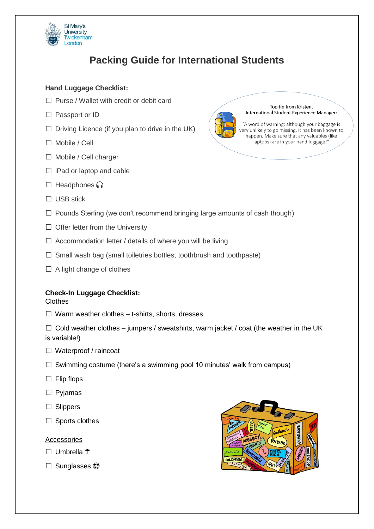

# **Packing Guide for International Students**

# **Hand Luggage Checklist:**

- □ Purse / Wallet with credit or debit card
- □ Passport or ID
- $\square$  Driving Licence (if you plan to drive in the UK)
- $\Box$  Mobile / Cell
- □ Mobile / Cell charger
- $\square$  iPad or laptop and cable
- $\square$  Headphones  $\bigcap$
- □ USB stick



- $\Box$  Offer letter from the University
- $\square$  Accommodation letter / details of where you will be living
- $\square$  Small wash bag (small toiletries bottles, toothbrush and toothpaste)
- $\Box$  A light change of clothes

# **Check-In Luggage Checklist:**

#### **Clothes**

 $\Box$  Warm weather clothes – t-shirts, shorts, dresses

 $\Box$  Cold weather clothes – jumpers / sweatshirts, warm jacket / coat (the weather in the UK is variable!)

- $\Box$  Waterproof / raincoat
- $\square$  Swimming costume (there's a swimming pool 10 minutes' walk from campus)
- $\Box$  Flip flops
- □ Pyjamas
- □ Slippers
- $\square$  Sports clothes

#### Accessories

- $\Box$  Umbrella  $\uparrow$
- $\square$  Sunglasses  $\odot$





Top tip from Kristen International Student Experience Manager:

"A word of warning: although your baggage is very unlikely to go missing, it has been known to happen. Make sure that any valuables (like laptops) are in your hand luggage!"